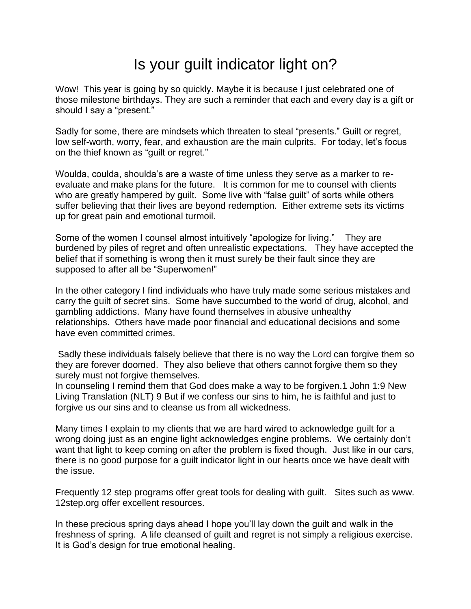## Is your guilt indicator light on?

Wow! This year is going by so quickly. Maybe it is because I just celebrated one of those milestone birthdays. They are such a reminder that each and every day is a gift or should I say a "present."

Sadly for some, there are mindsets which threaten to steal "presents." Guilt or regret, low self-worth, worry, fear, and exhaustion are the main culprits. For today, let's focus on the thief known as "guilt or regret."

Woulda, coulda, shoulda's are a waste of time unless they serve as a marker to reevaluate and make plans for the future. It is common for me to counsel with clients who are greatly hampered by quilt. Some live with "false guilt" of sorts while others suffer believing that their lives are beyond redemption. Either extreme sets its victims up for great pain and emotional turmoil.

Some of the women I counsel almost intuitively "apologize for living." They are burdened by piles of regret and often unrealistic expectations. They have accepted the belief that if something is wrong then it must surely be their fault since they are supposed to after all be "Superwomen!"

In the other category I find individuals who have truly made some serious mistakes and carry the guilt of secret sins. Some have succumbed to the world of drug, alcohol, and gambling addictions. Many have found themselves in abusive unhealthy relationships. Others have made poor financial and educational decisions and some have even committed crimes.

Sadly these individuals falsely believe that there is no way the Lord can forgive them so they are forever doomed. They also believe that others cannot forgive them so they surely must not forgive themselves.

In counseling I remind them that God does make a way to be forgiven.1 John 1:9 New Living Translation (NLT) 9 But if we confess our sins to him, he is faithful and just to forgive us our sins and to cleanse us from all wickedness.

Many times I explain to my clients that we are hard wired to acknowledge guilt for a wrong doing just as an engine light acknowledges engine problems. We certainly don't want that light to keep coming on after the problem is fixed though. Just like in our cars, there is no good purpose for a guilt indicator light in our hearts once we have dealt with the issue.

Frequently 12 step programs offer great tools for dealing with guilt. Sites such as www. 12step.org offer excellent resources.

In these precious spring days ahead I hope you'll lay down the guilt and walk in the freshness of spring. A life cleansed of guilt and regret is not simply a religious exercise. It is God's design for true emotional healing.